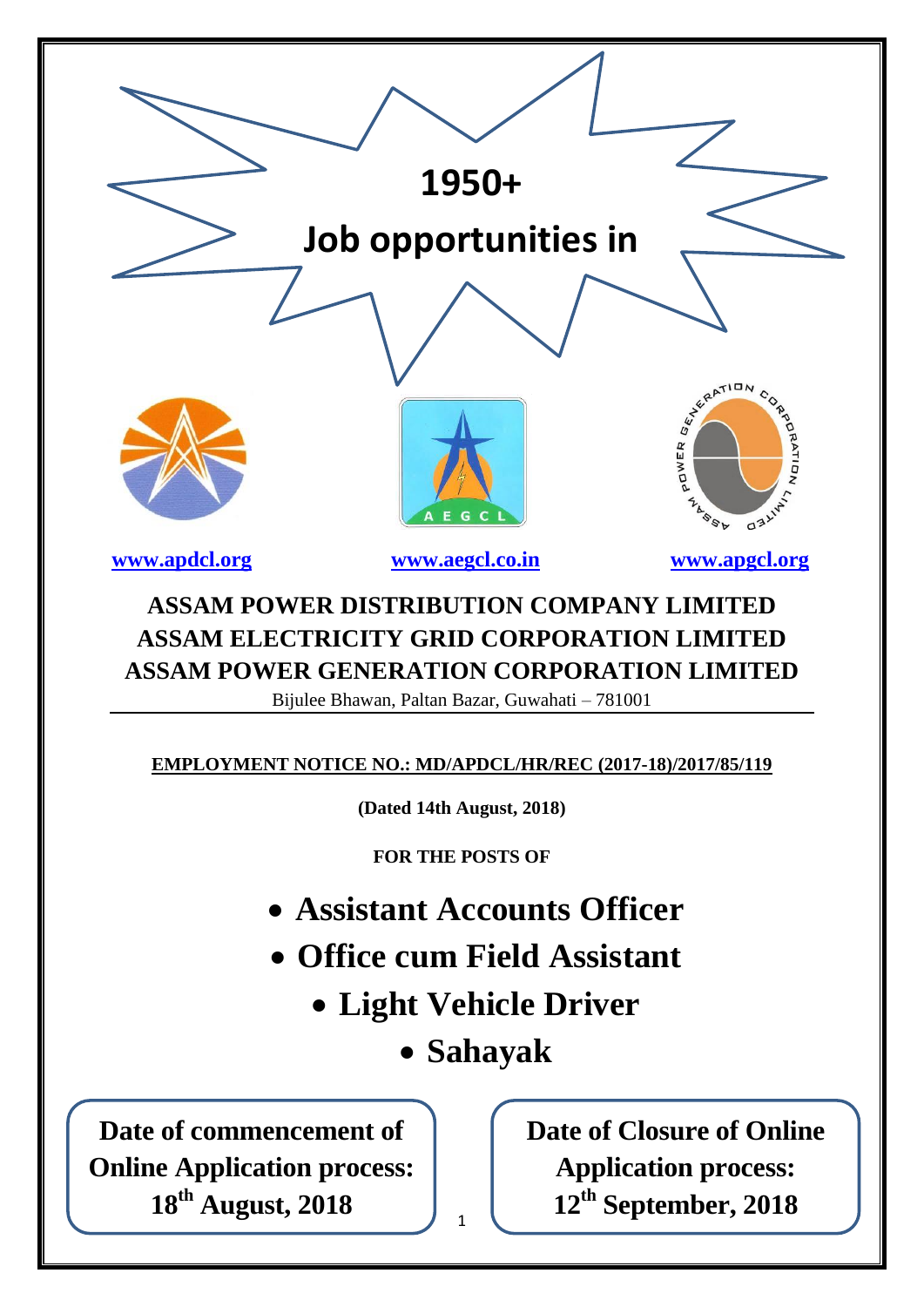| 1950+                                                                                                                                                                                                                                                                               |  |  |  |  |  |  |
|-------------------------------------------------------------------------------------------------------------------------------------------------------------------------------------------------------------------------------------------------------------------------------------|--|--|--|--|--|--|
| Job opportunities in                                                                                                                                                                                                                                                                |  |  |  |  |  |  |
|                                                                                                                                                                                                                                                                                     |  |  |  |  |  |  |
| WALLEY BATION<br>D WITH MOUNT OF<br>POWER<br><b>LASSA</b><br>E G C                                                                                                                                                                                                                  |  |  |  |  |  |  |
| www.apdcl.org<br>www.aegcl.co.in<br>www.apgcl.org                                                                                                                                                                                                                                   |  |  |  |  |  |  |
| <b>ASSAM POWER DISTRIBUTION COMPANY LIMITED</b><br><b>ASSAM ELECTRICITY GRID CORPORATION LIMITED</b><br><b>ASSAM POWER GENERATION CORPORATION LIMITED</b><br>Bijulee Bhawan, Paltan Bazar, Guwahati – 781001<br><b>EMPLOYMENT NOTICE NO.: MD/APDCL/HR/REC (2017-18)/2017/85/119</b> |  |  |  |  |  |  |
| (Dated 14th August, 2018)                                                                                                                                                                                                                                                           |  |  |  |  |  |  |
| <b>FOR THE POSTS OF</b>                                                                                                                                                                                                                                                             |  |  |  |  |  |  |
| • Assistant Accounts Officer                                                                                                                                                                                                                                                        |  |  |  |  |  |  |
| • Office cum Field Assistant                                                                                                                                                                                                                                                        |  |  |  |  |  |  |
| • Light Vehicle Driver                                                                                                                                                                                                                                                              |  |  |  |  |  |  |
| • Sahayak                                                                                                                                                                                                                                                                           |  |  |  |  |  |  |
| <b>Date of Closure of Online</b><br>Date of commencement of<br><b>Online Application process:</b><br><b>Application process:</b><br>18 <sup>th</sup> August, 2018<br>12 <sup>th</sup> September, 2018<br>$\mathbf{1}$                                                               |  |  |  |  |  |  |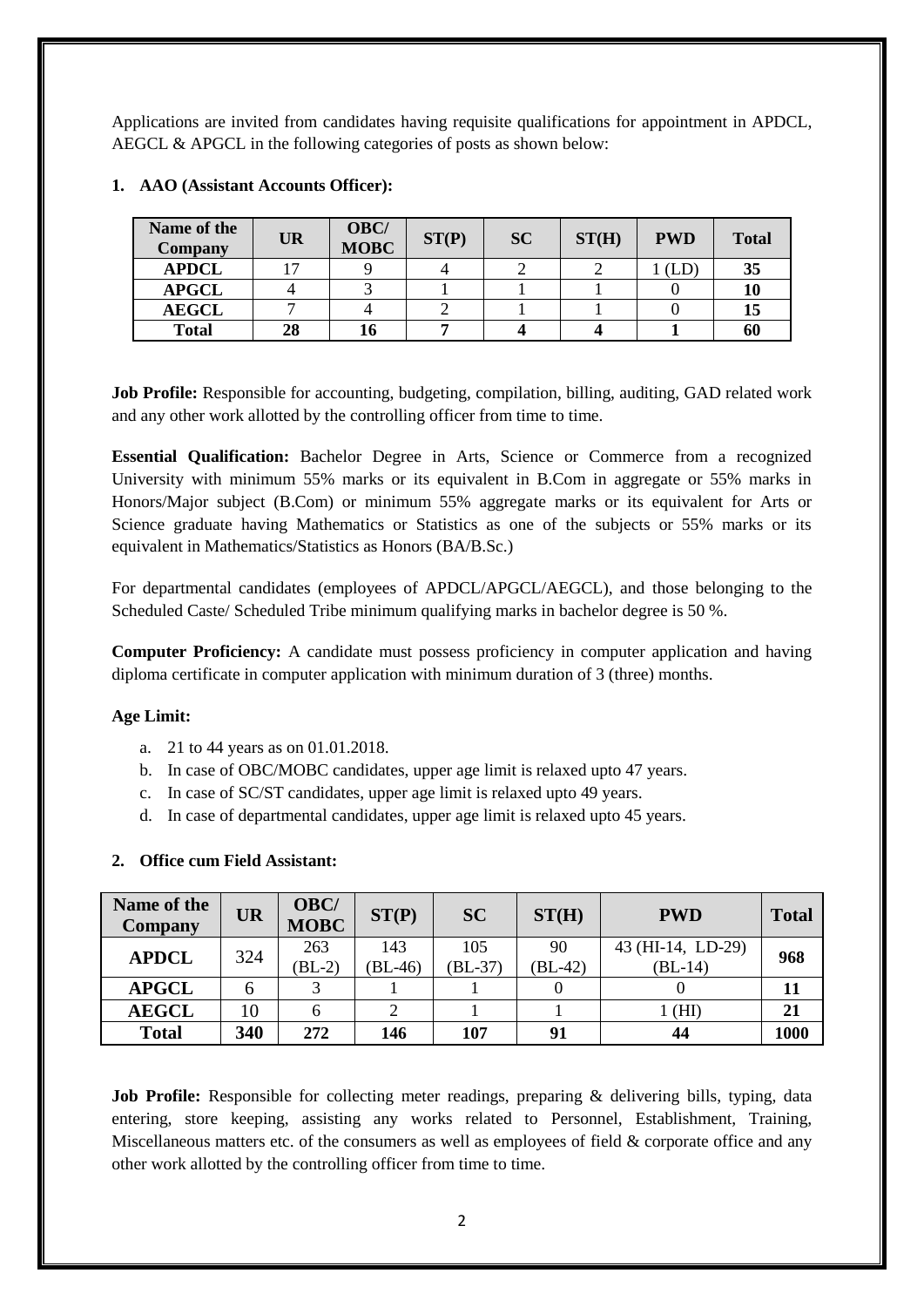Applications are invited from candidates having requisite qualifications for appointment in APDCL, AEGCL & APGCL in the following categories of posts as shown below:

| Name of the<br><b>Company</b> | <b>UR</b> | OBC/<br><b>MOBC</b> | ST(P) | <b>SC</b> | ST(H) | <b>PWD</b> | <b>Total</b> |
|-------------------------------|-----------|---------------------|-------|-----------|-------|------------|--------------|
| <b>APDCL</b>                  | 17        |                     |       |           |       | (LD        | 35           |
| <b>APGCL</b>                  |           |                     |       |           |       |            | 10           |
| <b>AEGCL</b>                  |           |                     |       |           |       |            | 15           |
| <b>Total</b>                  | 28        |                     |       |           |       |            | 60           |

## **1. AAO (Assistant Accounts Officer):**

**Job Profile:** Responsible for accounting, budgeting, compilation, billing, auditing, GAD related work and any other work allotted by the controlling officer from time to time.

**Essential Qualification:** Bachelor Degree in Arts, Science or Commerce from a recognized University with minimum 55% marks or its equivalent in B.Com in aggregate or 55% marks in Honors/Major subject (B.Com) or minimum 55% aggregate marks or its equivalent for Arts or Science graduate having Mathematics or Statistics as one of the subjects or 55% marks or its equivalent in Mathematics/Statistics as Honors (BA/B.Sc.)

For departmental candidates (employees of APDCL/APGCL/AEGCL), and those belonging to the Scheduled Caste/ Scheduled Tribe minimum qualifying marks in bachelor degree is 50 %.

**Computer Proficiency:** A candidate must possess proficiency in computer application and having diploma certificate in computer application with minimum duration of 3 (three) months.

## **Age Limit:**

- a. 21 to 44 years as on 01.01.2018.
- b. In case of OBC/MOBC candidates, upper age limit is relaxed upto 47 years.
- c. In case of SC/ST candidates, upper age limit is relaxed upto 49 years.
- d. In case of departmental candidates, upper age limit is relaxed upto 45 years.

| Name of the<br><b>Company</b> | <b>UR</b> | OBC/<br><b>MOBC</b> | ST(P)         | <b>SC</b>        | ST(H)          | <b>PWD</b>                     | <b>Total</b> |  |
|-------------------------------|-----------|---------------------|---------------|------------------|----------------|--------------------------------|--------------|--|
| <b>APDCL</b>                  | 324       | 263<br>$(BL-2)$     | 143<br>BL-46) | 105<br>$(BL-37)$ | 90<br>$BL-42)$ | 43 (HI-14, LD-29)<br>$(BL-14)$ | 968          |  |
| <b>APGCL</b>                  |           |                     |               |                  |                |                                |              |  |
| <b>AEGCL</b>                  | 10        |                     | 2             |                  |                | 1 (HI)                         | 21           |  |
| <b>Total</b>                  | 340       | 272                 | 146           | 107              | 91             | 44                             | 1000         |  |

#### **2. Office cum Field Assistant:**

**Job Profile:** Responsible for collecting meter readings, preparing & delivering bills, typing, data entering, store keeping, assisting any works related to Personnel, Establishment, Training, Miscellaneous matters etc. of the consumers as well as employees of field & corporate office and any other work allotted by the controlling officer from time to time.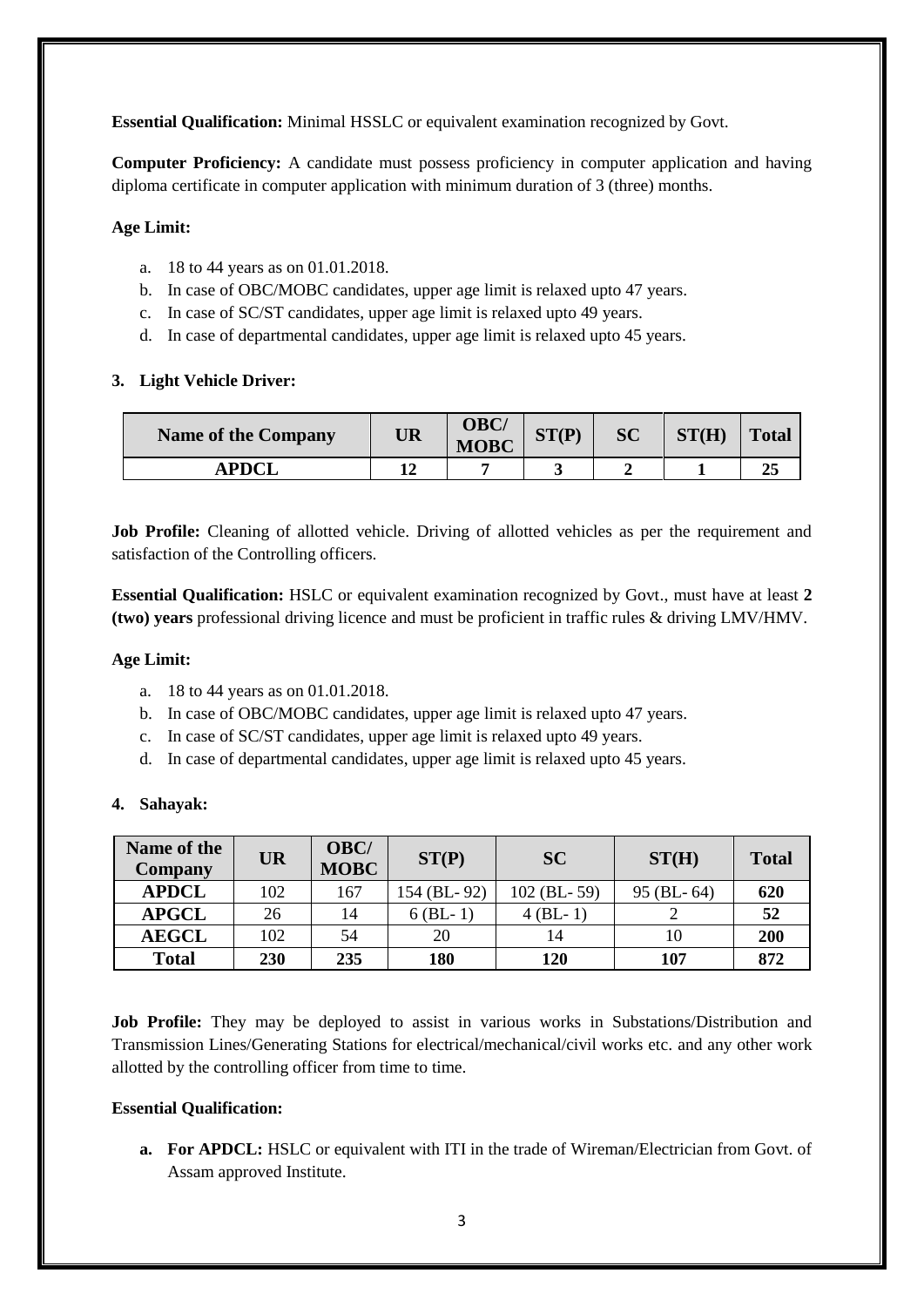**Essential Qualification:** Minimal HSSLC or equivalent examination recognized by Govt.

**Computer Proficiency:** A candidate must possess proficiency in computer application and having diploma certificate in computer application with minimum duration of 3 (three) months.

## **Age Limit:**

- a. 18 to 44 years as on 01.01.2018.
- b. In case of OBC/MOBC candidates, upper age limit is relaxed upto 47 years.
- c. In case of SC/ST candidates, upper age limit is relaxed upto 49 years.
- d. In case of departmental candidates, upper age limit is relaxed upto 45 years.

## **3. Light Vehicle Driver:**

| <b>Name of the Company</b> | <b>UR</b> | <b>OBC/</b><br><b>MOBC</b> | ST(D) | <b>SC</b> | ST(H) | <b>Total</b> |
|----------------------------|-----------|----------------------------|-------|-----------|-------|--------------|
| <b>APDCI</b>               |           |                            |       |           |       |              |

**Job Profile:** Cleaning of allotted vehicle. Driving of allotted vehicles as per the requirement and satisfaction of the Controlling officers.

**Essential Qualification:** HSLC or equivalent examination recognized by Govt., must have at least **2 (two) years** professional driving licence and must be proficient in traffic rules & driving LMV/HMV.

### **Age Limit:**

- a. 18 to 44 years as on 01.01.2018.
- b. In case of OBC/MOBC candidates, upper age limit is relaxed upto 47 years.
- c. In case of SC/ST candidates, upper age limit is relaxed upto 49 years.
- d. In case of departmental candidates, upper age limit is relaxed upto 45 years.

#### **4. Sahayak:**

| Name of the<br><b>Company</b> | <b>UR</b> | OBC/<br><b>MOBC</b> | ST(P)       | <b>SC</b>     | ST(H)            | <b>Total</b> |
|-------------------------------|-----------|---------------------|-------------|---------------|------------------|--------------|
| <b>APDCL</b>                  | 102       | 167                 | 154 (BL-92) | $102$ (BL-59) | $95$ (BL- $64$ ) | 620          |
| <b>APGCL</b>                  | 26        | 14                  | $6$ (BL-1)  | $4$ (BL-1)    |                  | 52           |
| <b>AEGCL</b>                  | 102       | 54                  | 20          | 14            | 10               | <b>200</b>   |
| <b>Total</b>                  | 230       | 235                 | 180         | 120           | 107              | 872          |

**Job Profile:** They may be deployed to assist in various works in Substations/Distribution and Transmission Lines/Generating Stations for electrical/mechanical/civil works etc. and any other work allotted by the controlling officer from time to time.

#### **Essential Qualification:**

**a. For APDCL:** HSLC or equivalent with ITI in the trade of Wireman/Electrician from Govt. of Assam approved Institute.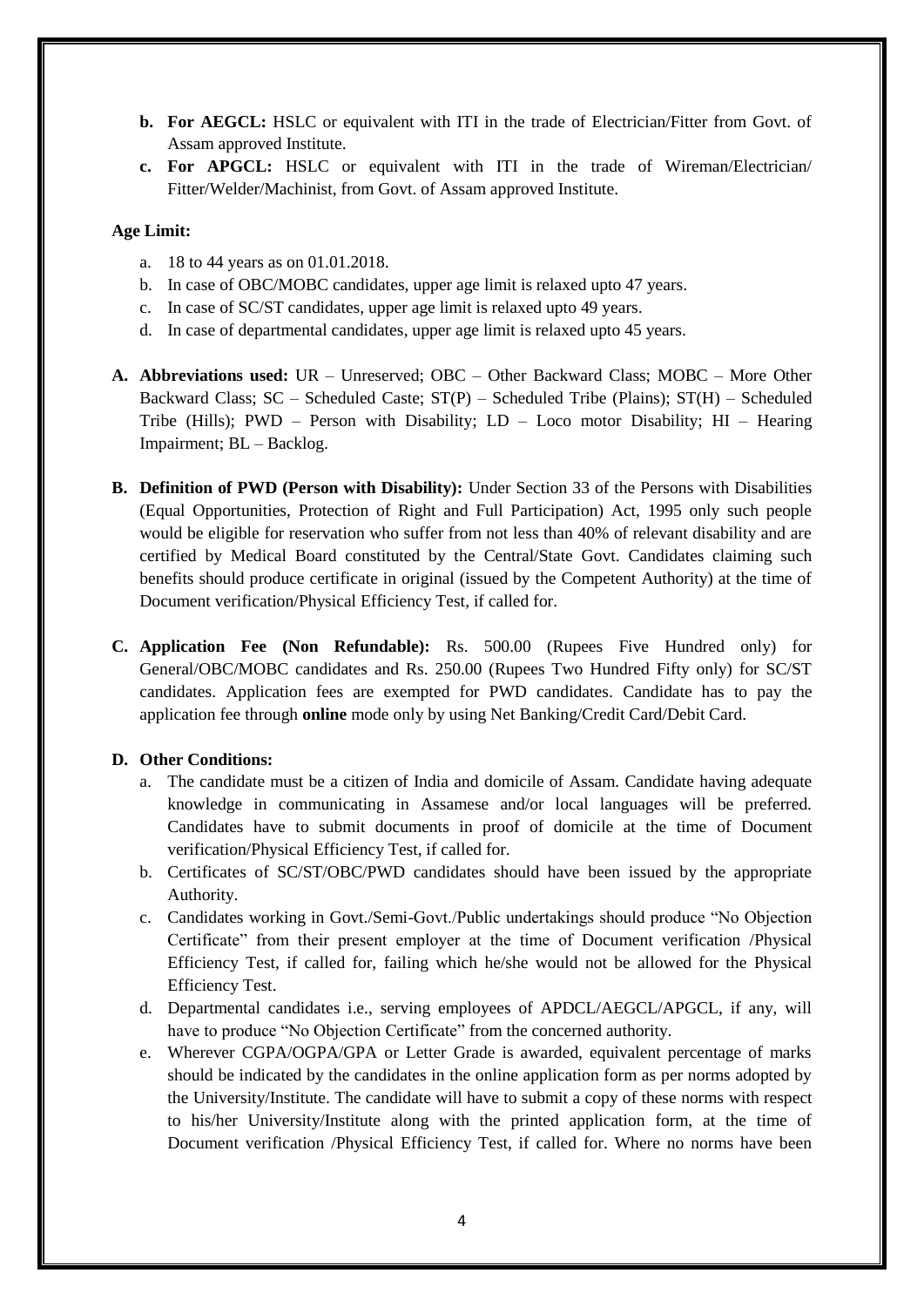- **b. For AEGCL:** HSLC or equivalent with ITI in the trade of Electrician/Fitter from Govt. of Assam approved Institute.
- **c. For APGCL:** HSLC or equivalent with ITI in the trade of Wireman/Electrician/ Fitter/Welder/Machinist, from Govt. of Assam approved Institute.

#### **Age Limit:**

- a. 18 to 44 years as on 01.01.2018.
- b. In case of OBC/MOBC candidates, upper age limit is relaxed upto 47 years.
- c. In case of SC/ST candidates, upper age limit is relaxed upto 49 years.
- d. In case of departmental candidates, upper age limit is relaxed upto 45 years.
- **A. Abbreviations used:** UR Unreserved; OBC Other Backward Class; MOBC More Other Backward Class; SC – Scheduled Caste; ST(P) – Scheduled Tribe (Plains); ST(H) – Scheduled Tribe (Hills); PWD – Person with Disability; LD – Loco motor Disability; HI – Hearing Impairment; BL – Backlog.
- **B. Definition of PWD (Person with Disability):** Under Section 33 of the Persons with Disabilities (Equal Opportunities, Protection of Right and Full Participation) Act, 1995 only such people would be eligible for reservation who suffer from not less than 40% of relevant disability and are certified by Medical Board constituted by the Central/State Govt. Candidates claiming such benefits should produce certificate in original (issued by the Competent Authority) at the time of Document verification/Physical Efficiency Test, if called for.
- **C. Application Fee (Non Refundable):** Rs. 500.00 (Rupees Five Hundred only) for General/OBC/MOBC candidates and Rs. 250.00 (Rupees Two Hundred Fifty only) for SC/ST candidates. Application fees are exempted for PWD candidates. Candidate has to pay the application fee through **online** mode only by using Net Banking/Credit Card/Debit Card.

## **D. Other Conditions:**

- a. The candidate must be a citizen of India and domicile of Assam. Candidate having adequate knowledge in communicating in Assamese and/or local languages will be preferred. Candidates have to submit documents in proof of domicile at the time of Document verification/Physical Efficiency Test, if called for.
- b. Certificates of SC/ST/OBC/PWD candidates should have been issued by the appropriate Authority.
- c. Candidates working in Govt./Semi-Govt./Public undertakings should produce "No Objection Certificate" from their present employer at the time of Document verification /Physical Efficiency Test, if called for, failing which he/she would not be allowed for the Physical Efficiency Test.
- d. Departmental candidates i.e., serving employees of APDCL/AEGCL/APGCL, if any, will have to produce "No Objection Certificate" from the concerned authority.
- e. Wherever CGPA/OGPA/GPA or Letter Grade is awarded, equivalent percentage of marks should be indicated by the candidates in the online application form as per norms adopted by the University/Institute. The candidate will have to submit a copy of these norms with respect to his/her University/Institute along with the printed application form, at the time of Document verification /Physical Efficiency Test, if called for. Where no norms have been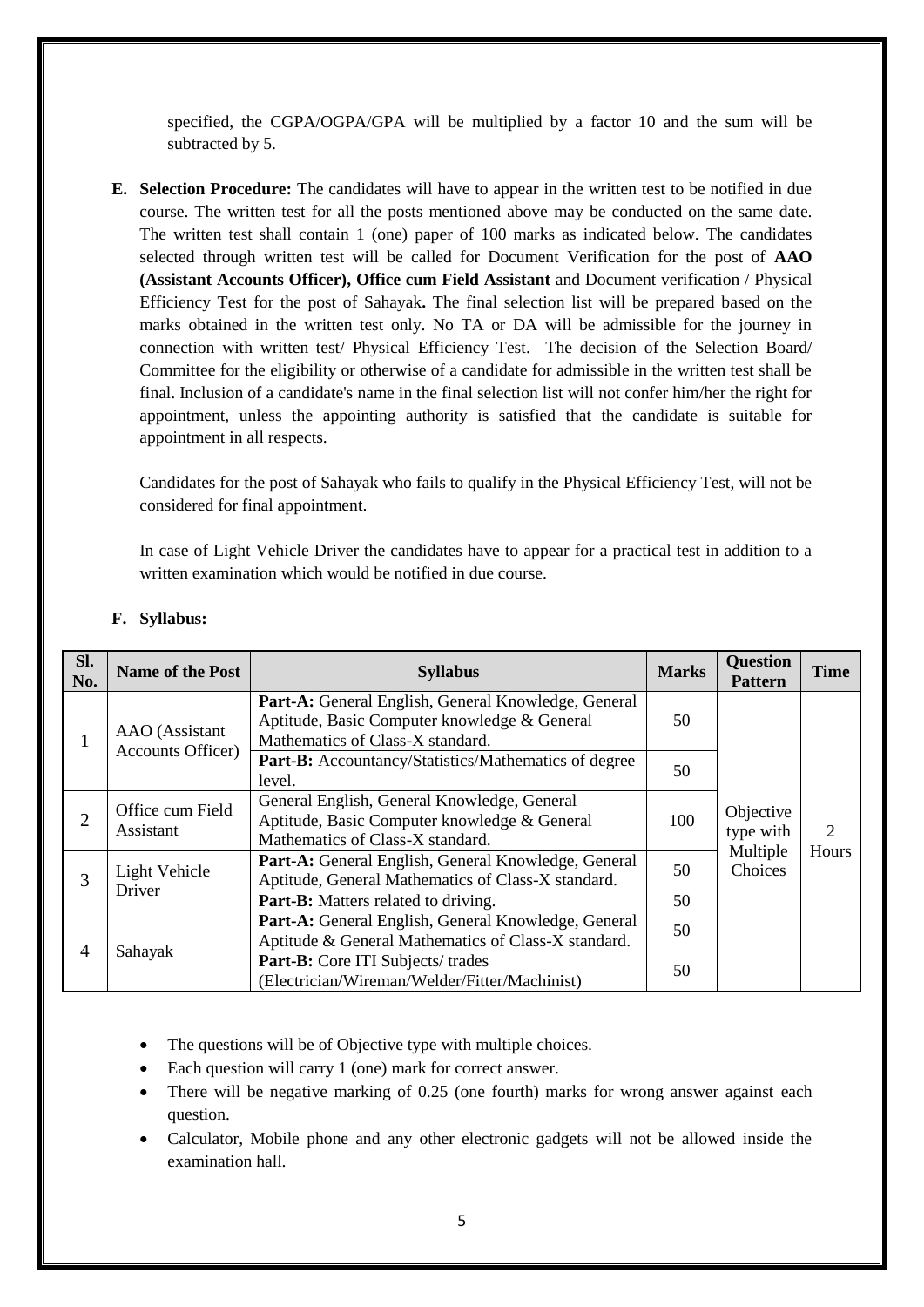specified, the CGPA/OGPA/GPA will be multiplied by a factor 10 and the sum will be subtracted by 5.

**E. Selection Procedure:** The candidates will have to appear in the written test to be notified in due course. The written test for all the posts mentioned above may be conducted on the same date. The written test shall contain 1 (one) paper of 100 marks as indicated below. The candidates selected through written test will be called for Document Verification for the post of **AAO (Assistant Accounts Officer), Office cum Field Assistant** and Document verification / Physical Efficiency Test for the post of Sahayak**.** The final selection list will be prepared based on the marks obtained in the written test only. No TA or DA will be admissible for the journey in connection with written test/ Physical Efficiency Test. The decision of the Selection Board/ Committee for the eligibility or otherwise of a candidate for admissible in the written test shall be final. Inclusion of a candidate's name in the final selection list will not confer him/her the right for appointment, unless the appointing authority is satisfied that the candidate is suitable for appointment in all respects.

Candidates for the post of Sahayak who fails to qualify in the Physical Efficiency Test, will not be considered for final appointment.

In case of Light Vehicle Driver the candidates have to appear for a practical test in addition to a written examination which would be notified in due course.

| Sl.<br>No. | <b>Name of the Post</b>       | <b>Syllabus</b>                                                                                                                         | <b>Marks</b> | <b>Question</b><br><b>Pattern</b>             | <b>Time</b>                 |
|------------|-------------------------------|-----------------------------------------------------------------------------------------------------------------------------------------|--------------|-----------------------------------------------|-----------------------------|
|            | AAO (Assistant                | Part-A: General English, General Knowledge, General<br>Aptitude, Basic Computer knowledge & General<br>Mathematics of Class-X standard. | 50           |                                               |                             |
|            | <b>Accounts Officer)</b>      | Part-B: Accountancy/Statistics/Mathematics of degree<br>level.                                                                          | 50           |                                               |                             |
| 2          | Office cum Field<br>Assistant | General English, General Knowledge, General<br>Aptitude, Basic Computer knowledge & General<br>Mathematics of Class-X standard.         | 100          | Objective<br>type with<br>Multiple<br>Choices | $\mathcal{D}_{\mathcal{L}}$ |
| 3          | Light Vehicle<br>Driver       | Part-A: General English, General Knowledge, General<br>Aptitude, General Mathematics of Class-X standard.                               | 50           |                                               | Hours                       |
|            |                               | Part-B: Matters related to driving.                                                                                                     | 50           |                                               |                             |
| 4          | Sahayak                       | Part-A: General English, General Knowledge, General<br>Aptitude & General Mathematics of Class-X standard.                              | 50           |                                               |                             |
|            |                               | Part-B: Core ITI Subjects/trades<br>(Electrician/Wireman/Welder/Fitter/Machinist)                                                       | 50           |                                               |                             |

#### **F. Syllabus:**

- The questions will be of Objective type with multiple choices.
- Each question will carry 1 (one) mark for correct answer.
- There will be negative marking of 0.25 (one fourth) marks for wrong answer against each question.
- Calculator, Mobile phone and any other electronic gadgets will not be allowed inside the examination hall.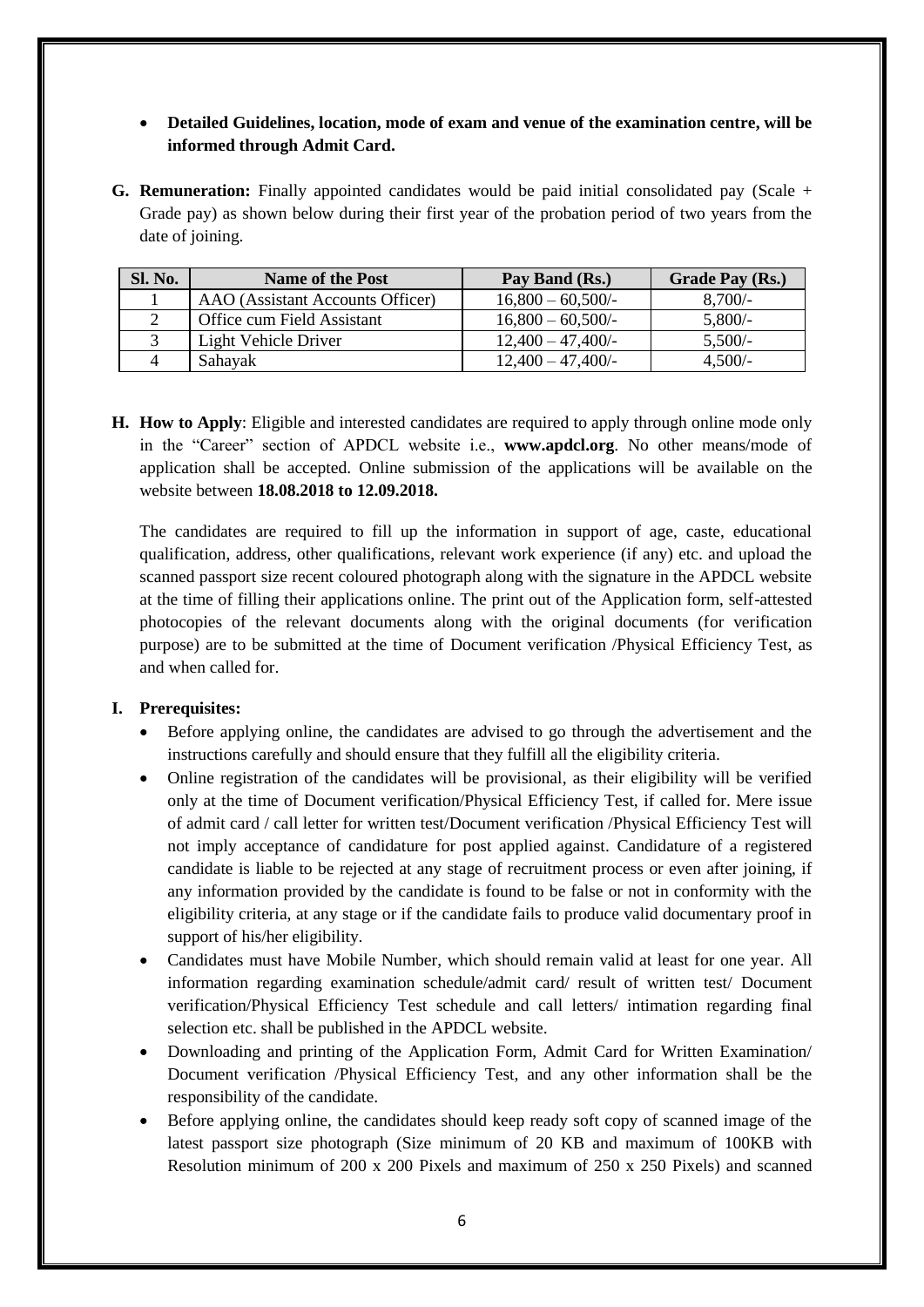# **Detailed Guidelines, location, mode of exam and venue of the examination centre, will be informed through Admit Card.**

**G. Remuneration:** Finally appointed candidates would be paid initial consolidated pay (Scale + Grade pay) as shown below during their first year of the probation period of two years from the date of joining.

| Sl. No. | <b>Name of the Post</b>          | Pay Band (Rs.)                 | <b>Grade Pay (Rs.)</b> |
|---------|----------------------------------|--------------------------------|------------------------|
|         | AAO (Assistant Accounts Officer) | $16,800 - 60,500$ <sup>-</sup> | $8,700/-$              |
|         | Office cum Field Assistant       | $16,800 - 60,500$ <sup>-</sup> | $5,800/$ -             |
|         | Light Vehicle Driver             | $12,400 - 47,400$              | 5,500/                 |
|         | Sahayak                          | $12,400 - 47,400$              | $4,500/-$              |

**H. How to Apply**: Eligible and interested candidates are required to apply through online mode only in the "Career" section of APDCL website i.e., **www.apdcl.org**. No other means/mode of application shall be accepted. Online submission of the applications will be available on the website between **18.08.2018 to 12.09.2018.**

The candidates are required to fill up the information in support of age, caste, educational qualification, address, other qualifications, relevant work experience (if any) etc. and upload the scanned passport size recent coloured photograph along with the signature in the APDCL website at the time of filling their applications online. The print out of the Application form, self-attested photocopies of the relevant documents along with the original documents (for verification purpose) are to be submitted at the time of Document verification /Physical Efficiency Test, as and when called for.

## **I. Prerequisites:**

- Before applying online, the candidates are advised to go through the advertisement and the instructions carefully and should ensure that they fulfill all the eligibility criteria.
- Online registration of the candidates will be provisional, as their eligibility will be verified only at the time of Document verification/Physical Efficiency Test, if called for. Mere issue of admit card / call letter for written test/Document verification /Physical Efficiency Test will not imply acceptance of candidature for post applied against. Candidature of a registered candidate is liable to be rejected at any stage of recruitment process or even after joining, if any information provided by the candidate is found to be false or not in conformity with the eligibility criteria, at any stage or if the candidate fails to produce valid documentary proof in support of his/her eligibility.
- Candidates must have Mobile Number, which should remain valid at least for one year. All information regarding examination schedule/admit card/ result of written test/ Document verification/Physical Efficiency Test schedule and call letters/ intimation regarding final selection etc. shall be published in the APDCL website.
- Downloading and printing of the Application Form, Admit Card for Written Examination/ Document verification /Physical Efficiency Test, and any other information shall be the responsibility of the candidate.
- Before applying online, the candidates should keep ready soft copy of scanned image of the latest passport size photograph (Size minimum of 20 KB and maximum of 100KB with Resolution minimum of 200 x 200 Pixels and maximum of 250 x 250 Pixels) and scanned